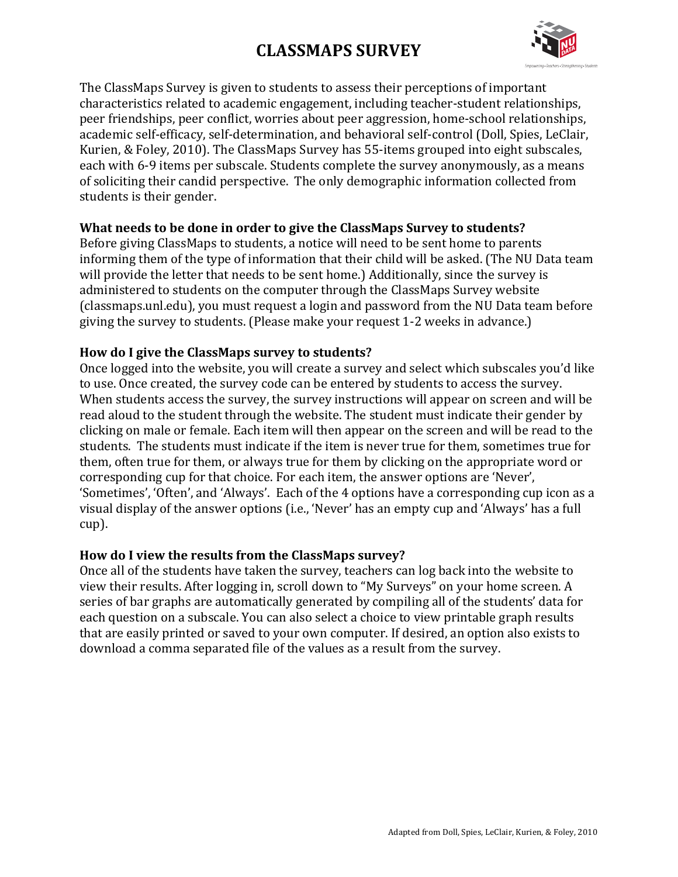# **CLASSMAPS SURVEY**



The ClassMaps Survey is given to students to assess their perceptions of important characteristics related to academic engagement, including teacher-student relationships, peer friendships, peer conflict, worries about peer aggression, home-school relationships, academic self-efficacy, self-determination, and behavioral self-control (Doll, Spies, LeClair, Kurien, & Foley, 2010). The ClassMaps Survey has 55-items grouped into eight subscales, each with 6-9 items per subscale. Students complete the survey anonymously, as a means of soliciting their candid perspective. The only demographic information collected from students is their gender.

### **What needs to be done in order to give the ClassMaps Survey to students?**

Before giving ClassMaps to students, a notice will need to be sent home to parents informing them of the type of information that their child will be asked. (The NU Data team will provide the letter that needs to be sent home.) Additionally, since the survey is administered to students on the computer through the ClassMaps Survey website (classmaps.unl.edu), you must request a login and password from the NU Data team before giving the survey to students. (Please make your request 1-2 weeks in advance.)

### How do I give the ClassMaps survey to students?

Once logged into the website, you will create a survey and select which subscales you'd like to use. Once created, the survey code can be entered by students to access the survey. When students access the survey, the survey instructions will appear on screen and will be read aloud to the student through the website. The student must indicate their gender by clicking on male or female. Each item will then appear on the screen and will be read to the students. The students must indicate if the item is never true for them, sometimes true for them, often true for them, or always true for them by clicking on the appropriate word or corresponding cup for that choice. For each item, the answer options are 'Never', 'Sometimes', 'Often', and 'Always'. Each of the 4 options have a corresponding cup icon as a visual display of the answer options (i.e., 'Never' has an empty cup and 'Always' has a full cup). 

### How do I view the results from the ClassMaps survey?

Once all of the students have taken the survey, teachers can log back into the website to view their results. After logging in, scroll down to "My Surveys" on your home screen. A series of bar graphs are automatically generated by compiling all of the students' data for each question on a subscale. You can also select a choice to view printable graph results that are easily printed or saved to your own computer. If desired, an option also exists to download a comma separated file of the values as a result from the survey.